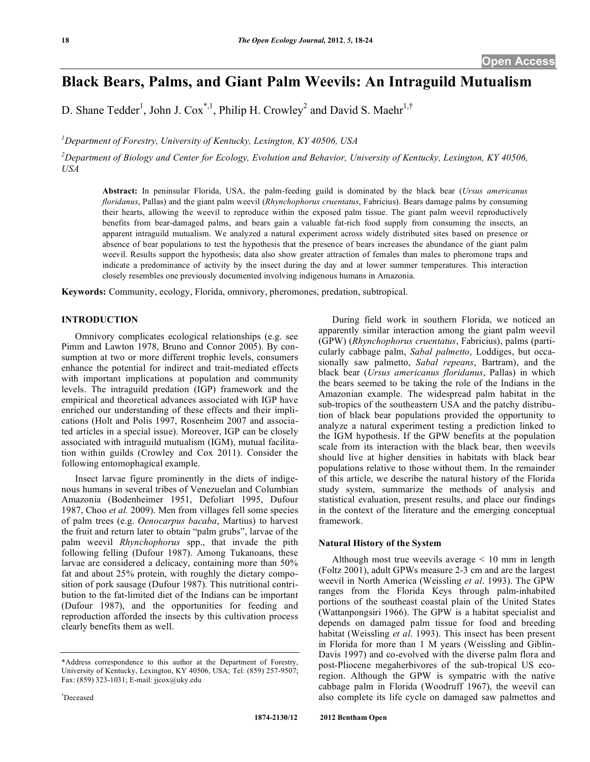# **Black Bears, Palms, and Giant Palm Weevils: An Intraguild Mutualism**

D. Shane Tedder<sup>1</sup>, John J. Cox<sup>\*,1</sup>, Philip H. Crowley<sup>2</sup> and David S. Maehr<sup>1,†</sup>

*1 Department of Forestry, University of Kentucky, Lexington, KY 40506, USA*

 $^{2}$ Department of Biology and Center for Ecology, Evolution and Behavior, University of Kentucky, Lexington, KY 40506, *USA*

**Abstract:** In peninsular Florida, USA, the palm-feeding guild is dominated by the black bear (*Ursus americanus floridanus*, Pallas) and the giant palm weevil (*Rhynchophorus cruentatus*, Fabricius). Bears damage palms by consuming their hearts, allowing the weevil to reproduce within the exposed palm tissue. The giant palm weevil reproductively benefits from bear-damaged palms, and bears gain a valuable fat-rich food supply from consuming the insects, an apparent intraguild mutualism. We analyzed a natural experiment across widely distributed sites based on presence or absence of bear populations to test the hypothesis that the presence of bears increases the abundance of the giant palm weevil. Results support the hypothesis; data also show greater attraction of females than males to pheromone traps and indicate a predominance of activity by the insect during the day and at lower summer temperatures. This interaction closely resembles one previously documented involving indigenous humans in Amazonia.

**Keywords:** Community, ecology, Florida, omnivory, pheromones, predation, subtropical.

# **INTRODUCTION**

Omnivory complicates ecological relationships (e.g. see Pimm and Lawton 1978, Bruno and Connor 2005). By consumption at two or more different trophic levels, consumers enhance the potential for indirect and trait-mediated effects with important implications at population and community levels. The intraguild predation (IGP) framework and the empirical and theoretical advances associated with IGP have enriched our understanding of these effects and their implications (Holt and Polis 1997, Rosenheim 2007 and associated articles in a special issue). Moreover, IGP can be closely associated with intraguild mutualism (IGM), mutual facilitation within guilds (Crowley and Cox 2011). Consider the following entomophagical example.

Insect larvae figure prominently in the diets of indigenous humans in several tribes of Venezuelan and Columbian Amazonia (Bodenheimer 1951, Defoliart 1995, Dufour 1987, Choo *et al.* 2009). Men from villages fell some species of palm trees (e.g. *Oenocarpus bacaba*, Martius) to harvest the fruit and return later to obtain "palm grubs", larvae of the palm weevil *Rhynchophorus* spp., that invade the pith following felling (Dufour 1987). Among Tukanoans, these larvae are considered a delicacy, containing more than 50% fat and about 25% protein, with roughly the dietary composition of pork sausage (Dufour 1987). This nutritional contribution to the fat-limited diet of the Indians can be important (Dufour 1987), and the opportunities for feeding and reproduction afforded the insects by this cultivation process clearly benefits them as well.

apparently similar interaction among the giant palm weevil (GPW) (*Rhynchophorus cruentatus*, Fabricius), palms (particularly cabbage palm, *Sabal palmetto*, Loddiges, but occasionally saw palmetto, *Sabal repeans*, Bartram), and the black bear (*Ursus americanus floridanus*, Pallas) in which the bears seemed to be taking the role of the Indians in the Amazonian example. The widespread palm habitat in the sub-tropics of the southeastern USA and the patchy distribution of black bear populations provided the opportunity to analyze a natural experiment testing a prediction linked to the IGM hypothesis. If the GPW benefits at the population scale from its interaction with the black bear, then weevils should live at higher densities in habitats with black bear populations relative to those without them. In the remainder of this article, we describe the natural history of the Florida study system, summarize the methods of analysis and statistical evaluation, present results, and place our findings in the context of the literature and the emerging conceptual framework.

During field work in southern Florida, we noticed an

# **Natural History of the System**

Although most true weevils average < 10 mm in length (Foltz 2001), adult GPWs measure 2-3 cm and are the largest weevil in North America (Weissling *et al*. 1993). The GPW ranges from the Florida Keys through palm-inhabited portions of the southeast coastal plain of the United States (Wattanpongsiri 1966). The GPW is a habitat specialist and depends on damaged palm tissue for food and breeding habitat (Weissling *et al*. 1993). This insect has been present in Florida for more than 1 M years (Weissling and Giblin-Davis 1997) and co-evolved with the diverse palm flora and post-Pliocene megaherbivores of the sub-tropical US ecoregion. Although the GPW is sympatric with the native cabbage palm in Florida (Woodruff 1967), the weevil can also complete its life cycle on damaged saw palmettos and

<sup>\*</sup>Address correspondence to this author at the Department of Forestry, University of Kentucky, Lexington, KY 40506, USA; Tel: (859) 257-9507; Fax: (859) 323-1031; E-mail: jjcox@uky.edu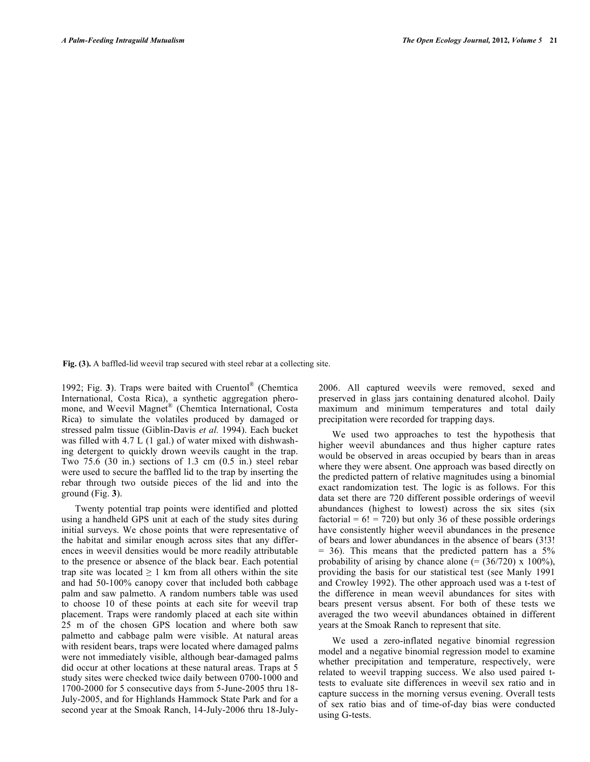**Fig. (3).** A baffled-lid weevil trap secured with steel rebar at a collecting site.

1992; Fig. **3**). Traps were baited with Cruentol® (Chemtica International, Costa Rica), a synthetic aggregation pheromone, and Weevil Magnet® (Chemtica International, Costa Rica) to simulate the volatiles produced by damaged or stressed palm tissue (Giblin-Davis *et al.* 1994). Each bucket was filled with 4.7 L (1 gal.) of water mixed with dishwashing detergent to quickly drown weevils caught in the trap. Two 75.6 (30 in.) sections of 1.3 cm (0.5 in.) steel rebar were used to secure the baffled lid to the trap by inserting the rebar through two outside pieces of the lid and into the ground (Fig. **3**).

Twenty potential trap points were identified and plotted using a handheld GPS unit at each of the study sites during initial surveys. We chose points that were representative of the habitat and similar enough across sites that any differences in weevil densities would be more readily attributable to the presence or absence of the black bear. Each potential trap site was located  $\geq 1$  km from all others within the site and had 50-100% canopy cover that included both cabbage palm and saw palmetto. A random numbers table was used to choose 10 of these points at each site for weevil trap placement. Traps were randomly placed at each site within 25 m of the chosen GPS location and where both saw palmetto and cabbage palm were visible. At natural areas with resident bears, traps were located where damaged palms were not immediately visible, although bear-damaged palms did occur at other locations at these natural areas. Traps at 5 study sites were checked twice daily between 0700-1000 and 1700-2000 for 5 consecutive days from 5-June-2005 thru 18- July-2005, and for Highlands Hammock State Park and for a second year at the Smoak Ranch, 14-July-2006 thru 18-July2006. All captured weevils were removed, sexed and preserved in glass jars containing denatured alcohol. Daily maximum and minimum temperatures and total daily precipitation were recorded for trapping days.

We used two approaches to test the hypothesis that higher weevil abundances and thus higher capture rates would be observed in areas occupied by bears than in areas where they were absent. One approach was based directly on the predicted pattern of relative magnitudes using a binomial exact randomization test. The logic is as follows. For this data set there are 720 different possible orderings of weevil abundances (highest to lowest) across the six sites (six factorial =  $6!$  = 720) but only 36 of these possible orderings have consistently higher weevil abundances in the presence of bears and lower abundances in the absence of bears (3!3!  $= 36$ ). This means that the predicted pattern has a  $5\%$ probability of arising by chance alone  $(=(36/720) \times 100\%)$ , providing the basis for our statistical test (see Manly 1991 and Crowley 1992). The other approach used was a t-test of the difference in mean weevil abundances for sites with bears present versus absent. For both of these tests we averaged the two weevil abundances obtained in different years at the Smoak Ranch to represent that site.

We used a zero-inflated negative binomial regression model and a negative binomial regression model to examine whether precipitation and temperature, respectively, were related to weevil trapping success. We also used paired ttests to evaluate site differences in weevil sex ratio and in capture success in the morning versus evening. Overall tests of sex ratio bias and of time-of-day bias were conducted using G-tests.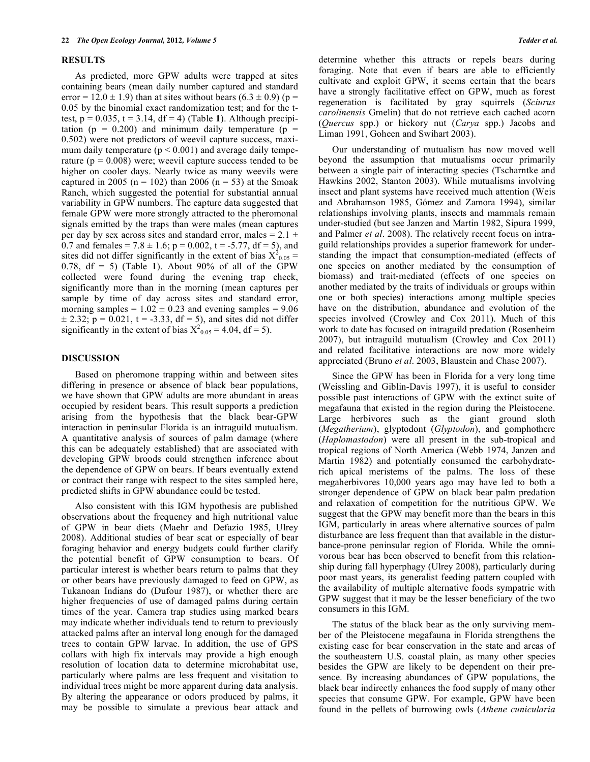### **RESULTS**

As predicted, more GPW adults were trapped at sites containing bears (mean daily number captured and standard error =  $12.0 \pm 1.9$ ) than at sites without bears  $(6.3 \pm 0.9)$  (p = 0.05 by the binomial exact randomization test; and for the ttest,  $p = 0.035$ ,  $t = 3.14$ ,  $df = 4$ ) (Table 1). Although precipitation ( $p = 0.200$ ) and minimum daily temperature ( $p =$ 0.502) were not predictors of weevil capture success, maximum daily temperature  $(p < 0.001)$  and average daily temperature ( $p = 0.008$ ) were; weevil capture success tended to be higher on cooler days. Nearly twice as many weevils were captured in 2005 (n = 102) than 2006 (n = 53) at the Smoak Ranch, which suggested the potential for substantial annual variability in GPW numbers. The capture data suggested that female GPW were more strongly attracted to the pheromonal signals emitted by the traps than were males (mean captures per day by sex across sites and standard error, males =  $2.1 \pm$ 0.7 and females =  $7.8 \pm 1.6$ ; p = 0.002, t = -5.77, df = 5), and sites did not differ significantly in the extent of bias  $X_{0.05}^2$  = 0.78, df = 5) (Table **1**). About 90% of all of the GPW collected were found during the evening trap check, significantly more than in the morning (mean captures per sample by time of day across sites and standard error, morning samples =  $1.02 \pm 0.23$  and evening samples =  $9.06$  $\pm$  2.32; p = 0.021, t = -3.33, df = 5), and sites did not differ significantly in the extent of bias  $X_{0.05}^{20} = 4.04$ , df = 5).

### **DISCUSSION**

Based on pheromone trapping within and between sites differing in presence or absence of black bear populations, we have shown that GPW adults are more abundant in areas occupied by resident bears. This result supports a prediction arising from the hypothesis that the black bear-GPW interaction in peninsular Florida is an intraguild mutualism. A quantitative analysis of sources of palm damage (where this can be adequately established) that are associated with developing GPW broods could strengthen inference about the dependence of GPW on bears. If bears eventually extend or contract their range with respect to the sites sampled here, predicted shifts in GPW abundance could be tested.

Also consistent with this IGM hypothesis are published observations about the frequency and high nutritional value of GPW in bear diets (Maehr and Defazio 1985, Ulrey 2008). Additional studies of bear scat or especially of bear foraging behavior and energy budgets could further clarify the potential benefit of GPW consumption to bears. Of particular interest is whether bears return to palms that they or other bears have previously damaged to feed on GPW, as Tukanoan Indians do (Dufour 1987), or whether there are higher frequencies of use of damaged palms during certain times of the year. Camera trap studies using marked bears may indicate whether individuals tend to return to previously attacked palms after an interval long enough for the damaged trees to contain GPW larvae. In addition, the use of GPS collars with high fix intervals may provide a high enough resolution of location data to determine microhabitat use, particularly where palms are less frequent and visitation to individual trees might be more apparent during data analysis. By altering the appearance or odors produced by palms, it may be possible to simulate a previous bear attack and

determine whether this attracts or repels bears during foraging. Note that even if bears are able to efficiently cultivate and exploit GPW, it seems certain that the bears have a strongly facilitative effect on GPW, much as forest regeneration is facilitated by gray squirrels (*Sciurus carolinensis* Gmelin) that do not retrieve each cached acorn (*Quercus* spp.) or hickory nut (*Carya* spp.) Jacobs and Liman 1991, Goheen and Swihart 2003).

Our understanding of mutualism has now moved well beyond the assumption that mutualisms occur primarily between a single pair of interacting species (Tscharntke and Hawkins 2002, Stanton 2003). While mutualisms involving insect and plant systems have received much attention (Weis and Abrahamson 1985, Gómez and Zamora 1994), similar relationships involving plants, insects and mammals remain under-studied (but see Janzen and Martin 1982, Sipura 1999, and Palmer *et al*. 2008). The relatively recent focus on intraguild relationships provides a superior framework for understanding the impact that consumption-mediated (effects of one species on another mediated by the consumption of biomass) and trait-mediated (effects of one species on another mediated by the traits of individuals or groups within one or both species) interactions among multiple species have on the distribution, abundance and evolution of the species involved (Crowley and Cox 2011). Much of this work to date has focused on intraguild predation (Rosenheim 2007), but intraguild mutualism (Crowley and Cox 2011) and related facilitative interactions are now more widely appreciated (Bruno *et al*. 2003, Blaustein and Chase 2007).

Since the GPW has been in Florida for a very long time (Weissling and Giblin-Davis 1997), it is useful to consider possible past interactions of GPW with the extinct suite of megafauna that existed in the region during the Pleistocene. Large herbivores such as the giant ground sloth (*Megatherium*), glyptodont (*Glyptodon*), and gomphothere (*Haplomastodon*) were all present in the sub-tropical and tropical regions of North America (Webb 1974, Janzen and Martin 1982) and potentially consumed the carbohydraterich apical meristems of the palms. The loss of these megaherbivores 10,000 years ago may have led to both a stronger dependence of GPW on black bear palm predation and relaxation of competition for the nutritious GPW. We suggest that the GPW may benefit more than the bears in this IGM, particularly in areas where alternative sources of palm disturbance are less frequent than that available in the disturbance-prone peninsular region of Florida. While the omnivorous bear has been observed to benefit from this relationship during fall hyperphagy (Ulrey 2008), particularly during poor mast years, its generalist feeding pattern coupled with the availability of multiple alternative foods sympatric with GPW suggest that it may be the lesser beneficiary of the two consumers in this IGM.

The status of the black bear as the only surviving member of the Pleistocene megafauna in Florida strengthens the existing case for bear conservation in the state and areas of the southeastern U.S. coastal plain, as many other species besides the GPW are likely to be dependent on their presence. By increasing abundances of GPW populations, the black bear indirectly enhances the food supply of many other species that consume GPW. For example, GPW have been found in the pellets of burrowing owls (*Athene cunicularia*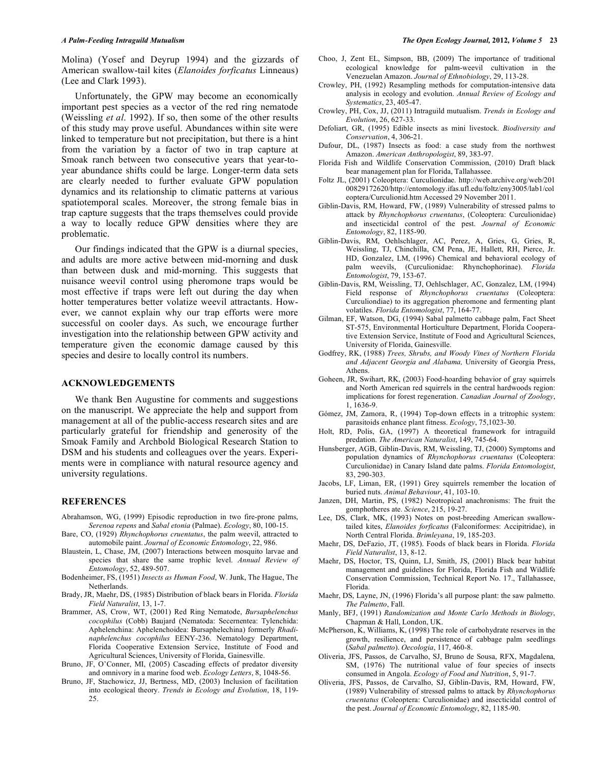Molina) (Yosef and Deyrup 1994) and the gizzards of American swallow-tail kites (*Elanoides forficatus* Linneaus) (Lee and Clark 1993).

Unfortunately, the GPW may become an economically important pest species as a vector of the red ring nematode (Weissling *et al*. 1992). If so, then some of the other results of this study may prove useful. Abundances within site were linked to temperature but not precipitation, but there is a hint from the variation by a factor of two in trap capture at Smoak ranch between two consecutive years that year-toyear abundance shifts could be large. Longer-term data sets are clearly needed to further evaluate GPW population dynamics and its relationship to climatic patterns at various spatiotemporal scales. Moreover, the strong female bias in trap capture suggests that the traps themselves could provide a way to locally reduce GPW densities where they are problematic.

Our findings indicated that the GPW is a diurnal species, and adults are more active between mid-morning and dusk than between dusk and mid-morning. This suggests that nuisance weevil control using pheromone traps would be most effective if traps were left out during the day when hotter temperatures better volatize weevil attractants. However, we cannot explain why our trap efforts were more successful on cooler days. As such, we encourage further investigation into the relationship between GPW activity and temperature given the economic damage caused by this species and desire to locally control its numbers.

### **ACKNOWLEDGEMENTS**

We thank Ben Augustine for comments and suggestions on the manuscript. We appreciate the help and support from management at all of the public-access research sites and are particularly grateful for friendship and generosity of the Smoak Family and Archbold Biological Research Station to DSM and his students and colleagues over the years. Experiments were in compliance with natural resource agency and university regulations.

### **REFERENCES**

- Abrahamson, WG, (1999) Episodic reproduction in two fire-prone palms, *Serenoa repens* and *Sabal etonia* (Palmae). *Ecology*, 80, 100-15.
- Bare, CO, (1929) *Rhynchophorus cruentatus*, the palm weevil, attracted to automobile paint. *Journal of Economic Entomology*, 22, 986.
- Blaustein, L, Chase, JM, (2007) Interactions between mosquito larvae and species that share the same trophic level. *Annual Review of Entomology*, 52, 489-507.
- Bodenheimer, FS, (1951) *Insects as Human Food*, W. Junk, The Hague, The Netherlands.
- Brady, JR, Maehr, DS, (1985) Distribution of black bears in Florida. *Florida Field Naturalist*, 13, 1-7.
- Brammer, AS, Crow, WT, (2001) Red Ring Nematode, *Bursaphelenchus cocophilus* (Cobb) Baujard (Nematoda: Secernentea: Tylenchida: Aphelenchina: Aphelenchoidea: Bursaphelechina) formerly *Rhadinaphelenchus cocophilus* EENY-236. Nematology Department, Florida Cooperative Extension Service, Institute of Food and Agricultural Sciences, University of Florida, Gainesville.
- Bruno, JF, O'Conner, MI, (2005) Cascading effects of predator diversity and omnivory in a marine food web. *Ecology Letters*, 8, 1048-56.
- Bruno, JF, Stachowicz, JJ, Bertness, MD, (2003) Inclusion of facilitation into ecological theory. *Trends in Ecology and Evolution*, 18, 119- 25.
- Choo, J, Zent EL, Simpson, BB, (2009) The importance of traditional ecological knowledge for palm-weevil cultivation in the Venezuelan Amazon. *Journal of Ethnobiology*, 29, 113-28.
- Crowley, PH, (1992) Resampling methods for computation-intensive data analysis in ecology and evolution. *Annual Review of Ecology and Systematics*, 23, 405-47.
- Crowley, PH, Cox, JJ, (2011) Intraguild mutualism. *Trends in Ecology and Evolution*, 26, 627-33.
- Defoliart, GR, (1995) Edible insects as mini livestock. *Biodiversity and Conservation*, 4, 306-21.
- Dufour, DL, (1987) Insects as food: a case study from the northwest Amazon. *American Anthropologist*, 89, 383-97.
- Florida Fish and Wildlife Conservation Commission, (2010) Draft black bear management plan for Florida, Tallahassee.
- Foltz JL, (2001) Coleoptera: Curculionidae. http://web.archive.org/web/201 00829172620/http://entomology.ifas.ufl.edu/foltz/eny3005/lab1/col eoptera/Curculionid.htm Accessed 29 November 2011.
- Giblin-Davis, RM, Howard, FW, (1989) Vulnerability of stressed palms to attack by *Rhynchophorus cruentatus*, (Coleoptera: Curculionidae) and insecticidal control of the pest. *Journal of Economic Entomology*, 82, 1185-90.
- Giblin-Davis, RM, Oehlschlager, AC, Perez, A, Gries, G, Gries, R, Weissling, TJ, Chinchilla, CM Pena, JE, Hallett, RH, Pierce, Jr. HD, Gonzalez, LM, (1996) Chemical and behavioral ecology of palm weevils, (Curculionidae: Rhynchophorinae). *Florida Entomologist*, 79, 153-67.
- Giblin-Davis, RM, Weissling, TJ, Oehlschlager, AC, Gonzalez, LM, (1994) Field response of *Rhynchophorus cruentatus* (Coleoptera: Curculiondiae) to its aggregation pheromone and fermenting plant volatiles. *Florida Entomologist*, 77, 164-77.
- Gilman, EF, Watson, DG, (1994) Sabal palmetto cabbage palm, Fact Sheet ST-575, Environmental Horticulture Department, Florida Cooperative Extension Service, Institute of Food and Agricultural Sciences, University of Florida, Gainesville.
- Godfrey, RK, (1988) *Trees, Shrubs, and Woody Vines of Northern Florida and Adjacent Georgia and Alabama,* University of Georgia Press, Athens.
- Goheen, JR, Swihart, RK, (2003) Food-hoarding behavior of gray squirrels and North American red squirrels in the central hardwoods region: implications for forest regeneration. *Canadian Journal of Zoology*, 1, 1636-9.
- Gómez, JM, Zamora, R, (1994) Top-down effects in a tritrophic system: parasitoids enhance plant fitness. *Ecology*, 75,1023-30.
- Holt, RD, Polis, GA, (1997) A theoretical framework for intraguild predation. *The American Naturalist*, 149, 745-64.
- Hunsberger, AGB, Giblin-Davis, RM, Weissling, TJ, (2000) Symptoms and population dynamics of *Rhynchophorus cruentatus* (Coleoptera: Curculionidae) in Canary Island date palms. *Florida Entomologist*, 83, 290-303.
- Jacobs, LF, Liman, ER, (1991) Grey squirrels remember the location of buried nuts. *Animal Behaviour*, 41, 103-10.
- Janzen, DH, Martin, PS, (1982) Neotropical anachronisms: The fruit the gomphotheres ate. *Science*, 215, 19-27.
- Lee, DS, Clark, MK, (1993) Notes on post-breeding American swallowtailed kites, *Elanoides forficatus* (Falconiformes: Accipitridae), in North Central Florida. *Brimleyana*, 19, 185-203.
- Maehr, DS, DeFazio, JT, (1985). Foods of black bears in Florida. *Florida Field Naturalist*, 13, 8-12.
- Maehr, DS, Hoctor, TS, Quinn, LJ, Smith, JS, (2001) Black bear habitat management and guidelines for Florida, Florida Fish and Wildlife Conservation Commission, Technical Report No. 17., Tallahassee, Florida.
- Maehr, DS, Layne, JN, (1996) Florida's all purpose plant: the saw palmetto. *The Palmetto*, Fall.
- Manly, BFJ, (1991) *Randomization and Monte Carlo Methods in Biology*, Chapman & Hall, London, UK.
- McPherson,  $\hat{K}$ , Williams,  $K$ , (1998) The role of carbohydrate reserves in the growth, resilience, and persistence of cabbage palm seedlings (*Sabal palmetto*). *Oecologia*, 117, 460-8.
- Oliveria, JFS, Passos, de Carvalho, SJ, Bruno de Sousa, RFX, Magdalena, SM, (1976) The nutritional value of four species of insects consumed in Angola. *Ecology of Food and Nutrition*, 5, 91-7.
- Oliveria, JFS, Passos, de Carvalho, SJ, Giblin-Davis, RM, Howard, FW, (1989) Vulnerability of stressed palms to attack by *Rhynchophorus cruentatus* (Coleoptera: Curculionidae) and insecticidal control of the pest. *Journal of Economic Entomology*, 82, 1185-90.